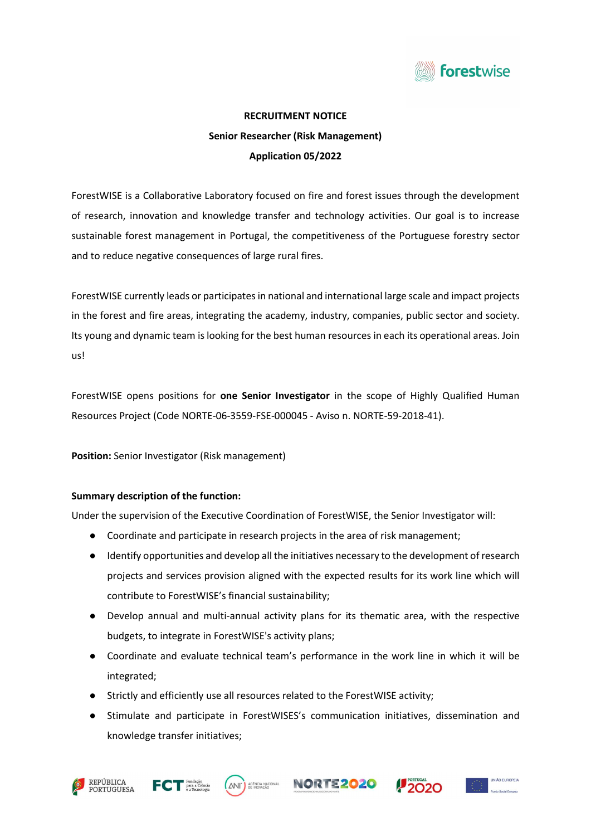

# RECRUITMENT NOTICE Senior Researcher (Risk Management) Application 05/2022

ForestWISE is a Collaborative Laboratory focused on fire and forest issues through the development of research, innovation and knowledge transfer and technology activities. Our goal is to increase sustainable forest management in Portugal, the competitiveness of the Portuguese forestry sector and to reduce negative consequences of large rural fires.

ForestWISE currently leads or participates in national and international large scale and impact projects in the forest and fire areas, integrating the academy, industry, companies, public sector and society. Its young and dynamic team is looking for the best human resources in each its operational areas. Join us!

ForestWISE opens positions for one Senior Investigator in the scope of Highly Qualified Human Resources Project (Code NORTE-06-3559-FSE-000045 - Aviso n. NORTE-59-2018-41).

Position: Senior Investigator (Risk management)

# Summary description of the function:

Under the supervision of the Executive Coordination of ForestWISE, the Senior Investigator will:

- Coordinate and participate in research projects in the area of risk management;
- Identify opportunities and develop all the initiatives necessary to the development of research projects and services provision aligned with the expected results for its work line which will contribute to ForestWISE's financial sustainability;
- Develop annual and multi-annual activity plans for its thematic area, with the respective budgets, to integrate in ForestWISE's activity plans;
- Coordinate and evaluate technical team's performance in the work line in which it will be integrated;
- Strictly and efficiently use all resources related to the ForestWISE activity;
- Stimulate and participate in ForestWISES's communication initiatives, dissemination and knowledge transfer initiatives;











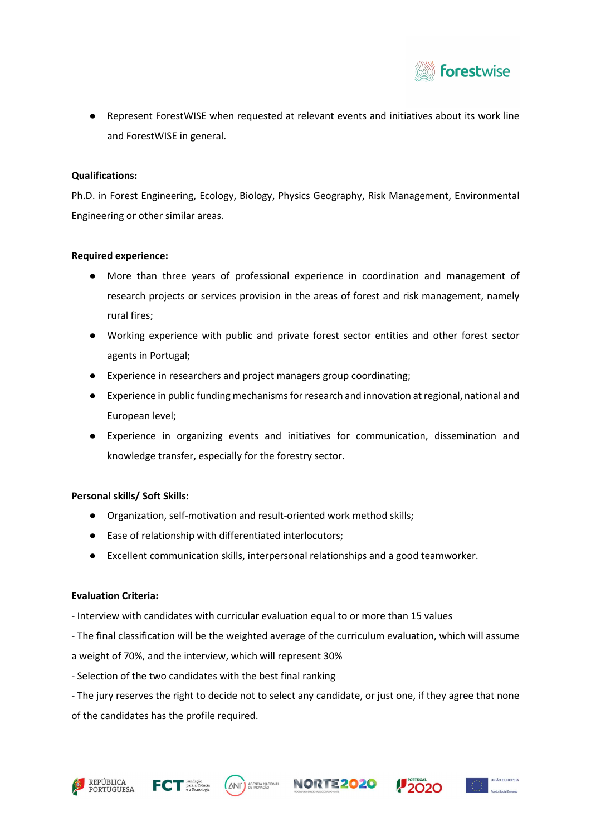

● Represent ForestWISE when requested at relevant events and initiatives about its work line and ForestWISE in general.

#### Qualifications:

Ph.D. in Forest Engineering, Ecology, Biology, Physics Geography, Risk Management, Environmental Engineering or other similar areas.

#### Required experience:

- More than three years of professional experience in coordination and management of research projects or services provision in the areas of forest and risk management, namely rural fires;
- Working experience with public and private forest sector entities and other forest sector agents in Portugal;
- Experience in researchers and project managers group coordinating;
- Experience in public funding mechanisms for research and innovation at regional, national and European level;
- Experience in organizing events and initiatives for communication, dissemination and knowledge transfer, especially for the forestry sector.

# Personal skills/ Soft Skills:

- Organization, self-motivation and result-oriented work method skills;
- Ease of relationship with differentiated interlocutors;
- Excellent communication skills, interpersonal relationships and a good teamworker.

# Evaluation Criteria:

- Interview with candidates with curricular evaluation equal to or more than 15 values
- The final classification will be the weighted average of the curriculum evaluation, which will assume

a weight of 70%, and the interview, which will represent 30%

- Selection of the two candidates with the best final ranking

- The jury reserves the right to decide not to select any candidate, or just one, if they agree that none of the candidates has the profile required.